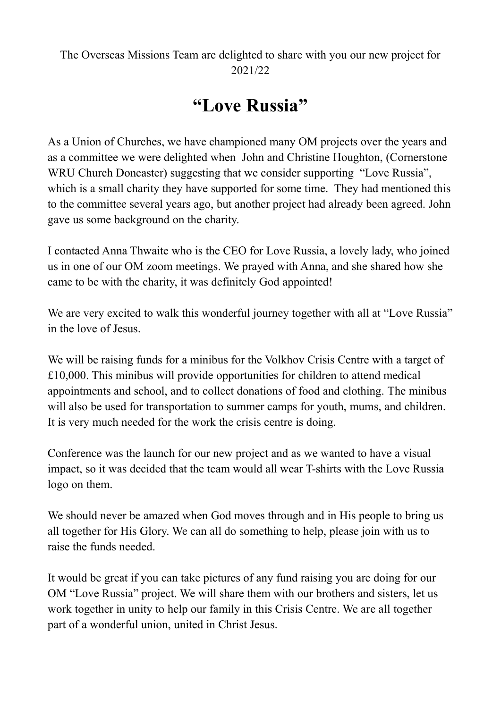## The Overseas Missions Team are delighted to share with you our new project for 2021/22

## **"Love Russia"**

As a Union of Churches, we have championed many OM projects over the years and as a committee we were delighted when John and Christine Houghton, (Cornerstone WRU Church Doncaster) suggesting that we consider supporting "Love Russia", which is a small charity they have supported for some time. They had mentioned this to the committee several years ago, but another project had already been agreed. John gave us some background on the charity.

I contacted Anna Thwaite who is the CEO for Love Russia, a lovely lady, who joined us in one of our OM zoom meetings. We prayed with Anna, and she shared how she came to be with the charity, it was definitely God appointed!

We are very excited to walk this wonderful journey together with all at "Love Russia" in the love of Jesus.

We will be raising funds for a minibus for the Volkhov Crisis Centre with a target of £10,000. This minibus will provide opportunities for children to attend medical appointments and school, and to collect donations of food and clothing. The minibus will also be used for transportation to summer camps for youth, mums, and children. It is very much needed for the work the crisis centre is doing.

Conference was the launch for our new project and as we wanted to have a visual impact, so it was decided that the team would all wear T-shirts with the Love Russia logo on them.

We should never be amazed when God moves through and in His people to bring us all together for His Glory. We can all do something to help, please join with us to raise the funds needed.

It would be great if you can take pictures of any fund raising you are doing for our OM "Love Russia" project. We will share them with our brothers and sisters, let us work together in unity to help our family in this Crisis Centre. We are all together part of a wonderful union, united in Christ Jesus.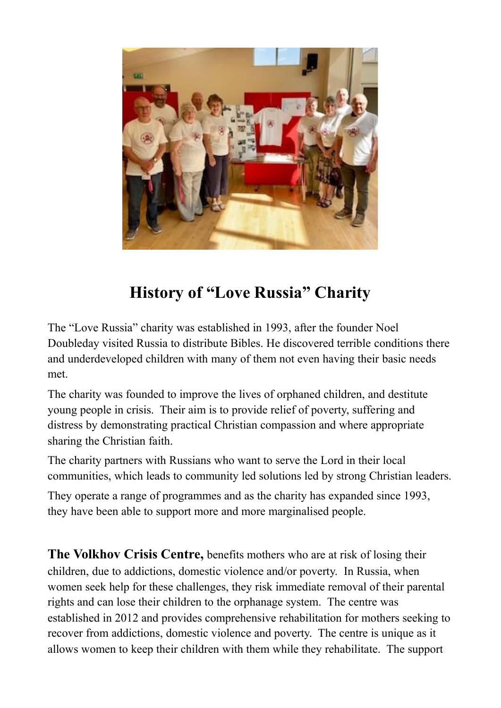

## **History of "Love Russia" Charity**

The "Love Russia" charity was established in 1993, after the founder Noel Doubleday visited Russia to distribute Bibles. He discovered terrible conditions there and underdeveloped children with many of them not even having their basic needs met.

The charity was founded to improve the lives of orphaned children, and destitute young people in crisis. Their aim is to provide relief of poverty, suffering and distress by demonstrating practical Christian compassion and where appropriate sharing the Christian faith.

The charity partners with Russians who want to serve the Lord in their local communities, which leads to community led solutions led by strong Christian leaders.

They operate a range of programmes and as the charity has expanded since 1993, they have been able to support more and more marginalised people.

**The Volkhov Crisis Centre,** benefits mothers who are at risk of losing their children, due to addictions, domestic violence and/or poverty. In Russia, when women seek help for these challenges, they risk immediate removal of their parental rights and can lose their children to the orphanage system. The centre was established in 2012 and provides comprehensive rehabilitation for mothers seeking to recover from addictions, domestic violence and poverty. The centre is unique as it allows women to keep their children with them while they rehabilitate. The support